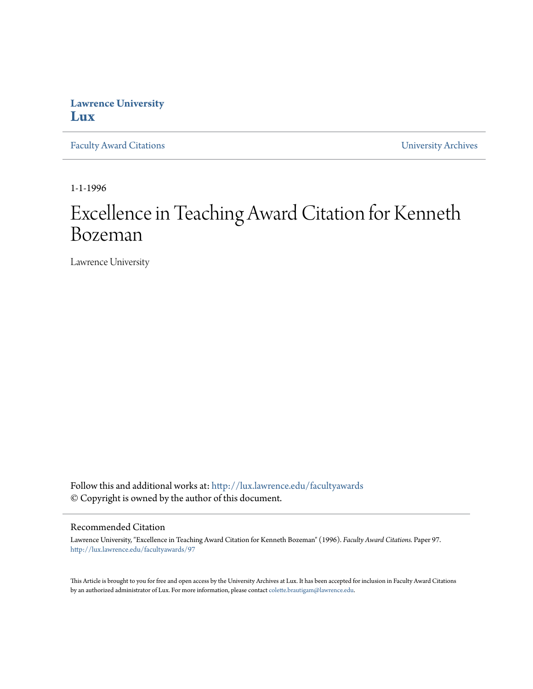## **Lawrence University [Lux](http://lux.lawrence.edu?utm_source=lux.lawrence.edu%2Ffacultyawards%2F97&utm_medium=PDF&utm_campaign=PDFCoverPages)**

[Faculty Award Citations](http://lux.lawrence.edu/facultyawards?utm_source=lux.lawrence.edu%2Ffacultyawards%2F97&utm_medium=PDF&utm_campaign=PDFCoverPages) **Example 2018** [University Archives](http://lux.lawrence.edu/archives?utm_source=lux.lawrence.edu%2Ffacultyawards%2F97&utm_medium=PDF&utm_campaign=PDFCoverPages)

1-1-1996

# Excellence in Teaching Award Citation for Kenneth Bozeman

Lawrence University

Follow this and additional works at: [http://lux.lawrence.edu/facultyawards](http://lux.lawrence.edu/facultyawards?utm_source=lux.lawrence.edu%2Ffacultyawards%2F97&utm_medium=PDF&utm_campaign=PDFCoverPages) © Copyright is owned by the author of this document.

#### Recommended Citation

Lawrence University, "Excellence in Teaching Award Citation for Kenneth Bozeman" (1996). *Faculty Award Citations.* Paper 97. [http://lux.lawrence.edu/facultyawards/97](http://lux.lawrence.edu/facultyawards/97?utm_source=lux.lawrence.edu%2Ffacultyawards%2F97&utm_medium=PDF&utm_campaign=PDFCoverPages)

This Article is brought to you for free and open access by the University Archives at Lux. It has been accepted for inclusion in Faculty Award Citations by an authorized administrator of Lux. For more information, please contact [colette.brautigam@lawrence.edu](mailto:colette.brautigam@lawrence.edu).